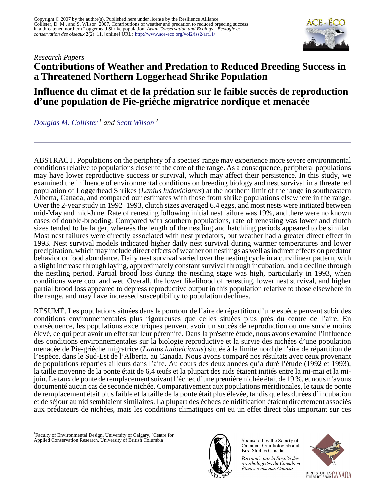

# *Research Papers* **Contributions of Weather and Predation to Reduced Breeding Success in a Threatened Northern Loggerhead Shrike Population**

# **Influence du climat et de la prédation sur le faible succès de reproduction d'une population de Pie-grièche migratrice nordique et menacée**

*[Douglas M. Collister](mailto:collistr@telus.net)<sup>1</sup> and [Scott Wilson](mailto:wilsonwa@interchange.ubc.ca)<sup>2</sup>*

ABSTRACT. Populations on the periphery of a species' range may experience more severe environmental conditions relative to populations closer to the core of the range. As a consequence, peripheral populations may have lower reproductive success or survival, which may affect their persistence. In this study, we examined the influence of environmental conditions on breeding biology and nest survival in a threatened population of Loggerhead Shrikes (*Lanius ludovicianus*) at the northern limit of the range in southeastern Alberta, Canada, and compared our estimates with those from shrike populations elsewhere in the range. Over the 2-year study in 1992–1993, clutch sizes averaged 6.4 eggs, and most nests were initiated between mid-May and mid-June. Rate of renesting following initial nest failure was 19%, and there were no known cases of double-brooding. Compared with southern populations, rate of renesting was lower and clutch sizes tended to be larger, whereas the length of the nestling and hatchling periods appeared to be similar. Most nest failures were directly associated with nest predators, but weather had a greater direct effect in 1993. Nest survival models indicated higher daily nest survival during warmer temperatures and lower precipitation, which may include direct effects of weather on nestlings as well as indirect effects on predator behavior or food abundance. Daily nest survival varied over the nesting cycle in a curvilinear pattern, with a slight increase through laying, approximately constant survival through incubation, and a decline through the nestling period. Partial brood loss during the nestling stage was high, particularly in 1993, when conditions were cool and wet. Overall, the lower likelihood of renesting, lower nest survival, and higher partial brood loss appeared to depress reproductive output in this population relative to those elsewhere in the range, and may have increased susceptibility to population declines.

RÉSUMÉ. Les populations situées dans le pourtour de l'aire de répartition d'une espèce peuvent subir des conditions environnementales plus rigoureuses que celles situées plus près du centre de l'aire. En conséquence, les populations excentriques peuvent avoir un succès de reproduction ou une survie moins élevé, ce qui peut avoir un effet sur leur pérennité. Dans la présente étude, nous avons examiné l'influence des conditions environnementales sur la biologie reproductive et la survie des nichées d'une population menacée de Pie-grièche migratrice (*Lanius ludovicianus*) située à la limite nord de l'aire de répartition de l'espèce, dans le Sud-Est de l'Alberta, au Canada. Nous avons comparé nos résultats avec ceux provenant de populations réparties ailleurs dans l'aire. Au cours des deux années qu'a duré l'étude (1992 et 1993), la taille moyenne de la ponte était de 6,4 œufs et la plupart des nids étaient initiés entre la mi-mai et la mijuin. Le taux de ponte de remplacement suivant l'échec d'une première nichée était de 19 %, et nous n'avons documenté aucun cas de seconde nichée. Comparativement aux populations méridionales, le taux de ponte de remplacement était plus faible et la taille de la ponte était plus élevée, tandis que les durées d'incubation et de séjour au nid semblaient similaires. La plupart des échecs de nidification étaient directement associés aux prédateurs de nichées, mais les conditions climatiques ont eu un effet direct plus important sur ces



Sponsored by the Society of Canadian Ornithologists and Bird Studies Canada

Parrainée par la Société des ornithologistes du Canada et Études d'oiseaux Canada



<sup>&</sup>lt;sup>1</sup>Faculty of Environmental Design, University of Calgary, <sup>2</sup>Centre for Applied Conservation Research, University of British Columbia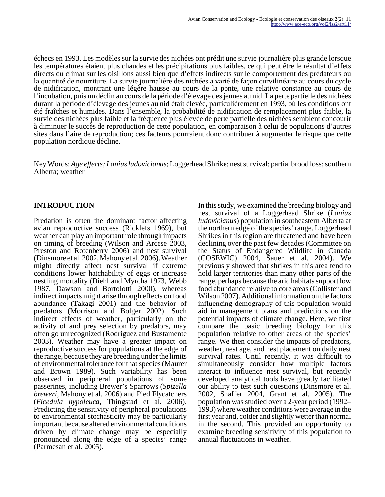échecs en 1993. Les modèles sur la survie des nichées ont prédit une survie journalière plus grande lorsque les températures étaient plus chaudes et les précipitations plus faibles, ce qui peut être le résultat d'effets directs du climat sur les oisillons aussi bien que d'effets indirects sur le comportement des prédateurs ou la quantité de nourriture. La survie journalière des nichées a varié de façon curvilinéaire au cours du cycle de nidification, montrant une légère hausse au cours de la ponte, une relative constance au cours de l'incubation, puis un déclin au cours de la période d'élevage des jeunes au nid. La perte partielle des nichées durant la période d'élevage des jeunes au nid était élevée, particulièrement en 1993, où les conditions ont été fraîches et humides. Dans l'ensemble, la probabilité de nidification de remplacement plus faible, la survie des nichées plus faible et la fréquence plus élevée de perte partielle des nichées semblent concourir à diminuer le succès de reproduction de cette population, en comparaison à celui de populations d'autres sites dans l'aire de reproduction; ces facteurs pourraient donc contribuer à augmenter le risque que cette population nordique décline.

Key Words: *Age effects; Lanius ludovicianus*; Loggerhead Shrike; nest survival; partial brood loss; southern Alberta; weather

## **INTRODUCTION**

Predation is often the dominant factor affecting avian reproductive success (Ricklefs 1969), but weather can play an important role through impacts on timing of breeding (Wilson and Arcese 2003, Preston and Rotenberry 2006) and nest survival (Dinsmore et al. 2002, Mahony et al. 2006). Weather might directly affect nest survival if extreme conditions lower hatchability of eggs or increase nestling mortality (Diehl and Myrcha 1973, Webb 1987, Dawson and Bortolotti 2000), whereas indirect impacts might arise through effects on food abundance (Takagi 2001) and the behavior of predators (Morrison and Bolger 2002). Such indirect effects of weather, particularly on the activity of and prey selection by predators, may often go unrecognized (Rodriguez and Bustamente 2003). Weather may have a greater impact on reproductive success for populations at the edge of the range, because they are breeding under the limits of environmental tolerance for that species (Maurer and Brown 1989). Such variability has been observed in peripheral populations of some passerines, including Brewer's Sparrows (*Spizella breweri*, Mahony et al. 2006) and Pied Flycatchers (*Ficedula hypoleuca*, Thingstad et al. 2006). Predicting the sensitivity of peripheral populations to environmental stochasticity may be particularly important because altered environmental conditions driven by climate change may be especially pronounced along the edge of a species' range (Parmesan et al. 2005).

In this study, we examined the breeding biology and nest survival of a Loggerhead Shrike (*Lanius ludovicianus*) population in southeastern Alberta at the northern edge of the species' range. Loggerhead Shrikes in this region are threatened and have been declining over the past few decades (Committee on the Status of Endangered Wildlife in Canada (COSEWIC) 2004, Sauer et al. 2004). We previously showed that shrikes in this area tend to hold larger territories than many other parts of the range, perhaps because the arid habitats support low food abundance relative to core areas (Collister and Wilson 2007). Additional information on the factors influencing demography of this population would aid in management plans and predictions on the potential impacts of climate change. Here, we first compare the basic breeding biology for this population relative to other areas of the species' range. We then consider the impacts of predators, weather, nest age, and nest placement on daily nest survival rates. Until recently, it was difficult to simultaneously consider how multiple factors interact to influence nest survival, but recently developed analytical tools have greatly facilitated our ability to test such questions (Dinsmore et al. 2002, Shaffer 2004, Grant et al. 2005). The population was studied over a 2-year period (1992– 1993) where weather conditions were average in the first year and, colder and slightly wetter than normal in the second. This provided an opportunity to examine breeding sensitivity of this population to annual fluctuations in weather.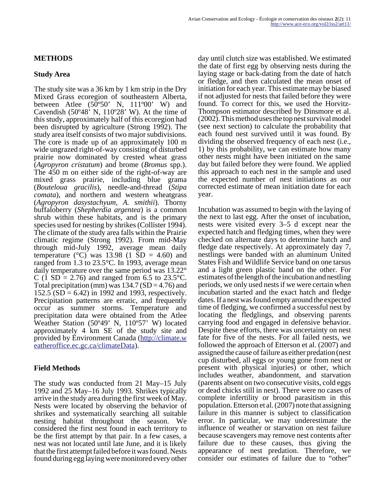### **METHODS**

#### **Study Area**

The study site was a 36 km by 1 km strip in the Dry Mixed Grass ecoregion of southeastern Alberta, between Atlee (50º50' N, 111º00' W) and Cavendish  $(50^{\circ}48^{\circ}$  N,  $110^{\circ}28^{\circ}$  W). At the time of this study, approximately half of this ecoregion had been disrupted by agriculture (Strong 1992). The study area itself consists of two major subdivisions. The core is made up of an approximately 100 m wide ungrazed right-of-way consisting of disturbed prairie now dominated by crested wheat grass (*Agropyron cristatum*) and brome (*Bromus* spp.). The 450 m on either side of the right-of-way are mixed grass prairie, including blue grama (*Bouteloua gracilis*), needle-and-thread (*Stipa comata*), and northern and western wheatgrass (*Agropyron dasystachyum, A. smithii*). Thorny buffaloberry (*Shepherdia argentea*) is a common shrub within these habitats, and is the primary species used for nesting by shrikes (Collister 1994). The climate of the study area falls within the Prairie climatic regime (Strong 1992). From mid-May through mid-July 1992, average mean daily temperature ( $\degree$ C) was 13.98 (1 SD = 4.60) and ranged from 1.3 to 23.5°C. In 1993, average mean daily temperature over the same period was 13.22° C (1 SD = 2.76) and ranged from 6.5 to 23.5 °C. Total precipitation (mm) was  $134.7$  (SD = 4.76) and 152.5 (SD = 6.42) in 1992 and 1993, respectively. Precipitation patterns are erratic, and frequently occur as summer storms. Temperature and precipitation data were obtained from the Atlee Weather Station (50º49' N, 110º57' W) located approximately 4 km SE of the study site and provided by Environment Canada [\(http://climate.w](http://climate.weatheroffice.ec.gc.ca/climateData) [eatheroffice.ec.gc.ca/climateData](http://climate.weatheroffice.ec.gc.ca/climateData)).

#### **Field Methods**

The study was conducted from 21 May–15 July 1992 and 25 May–16 July 1993. Shrikes typically arrive in the study area during the first week of May. Nests were located by observing the behavior of shrikes and systematically searching all suitable nesting habitat throughout the season. We considered the first nest found in each territory to be the first attempt by that pair. In a few cases, a nest was not located until late June, and it is likely that the first attempt failed before it was found. Nests found during egg laying were monitored every other

day until clutch size was established. We estimated the date of first egg by observing nests during the laying stage or back-dating from the date of hatch or fledge, and then calculated the mean onset of initiation for each year. This estimate may be biased if not adjusted for nests that failed before they were found. To correct for this, we used the Horvitz-Thompson estimator described by Dinsmore et al. (2002). This method uses the top nest survival model (see next section) to calculate the probability that each found nest survived until it was found. By dividing the observed frequency of each nest (i.e., 1) by this probability, we can estimate how many other nests might have been initiated on the same day but failed before they were found. We applied this approach to each nest in the sample and used the expected number of nest initiations as our corrected estimate of mean initiation date for each year.

Incubation was assumed to begin with the laying of the next to last egg. After the onset of incubation, nests were visited every 3–5 d except near the expected hatch and fledging times, when they were checked on alternate days to determine hatch and fledge date respectively. At approximately day 7, nestlings were banded with an aluminum United States Fish and Wildlife Service band on one tarsus and a light green plastic band on the other. For estimates of the length of the incubation and nestling periods, we only used nests if we were certain when incubation started and the exact hatch and fledge dates. If a nest was found empty around the expected time of fledging, we confirmed a successful nest by locating the fledglings, and observing parents carrying food and engaged in defensive behavior. Despite these efforts, there was uncertainty on nest fate for five of the nests. For all failed nests, we followed the approach of Etterson et al. (2007) and assigned the cause of failure as either predation (nest cup disturbed, all eggs or young gone from nest or present with physical injuries) or other, which includes weather, abandonment, and starvation (parents absent on two consecutive visits, cold eggs or dead chicks still in nest). There were no cases of complete infertility or brood parasitism in this population. Etterson et al. (2007) note that assigning failure in this manner is subject to classification error. In particular, we may underestimate the influence of weather or starvation on nest failure because scavengers may remove nest contents after failure due to these causes, thus giving the appearance of nest predation. Therefore, we consider our estimates of failure due to "other"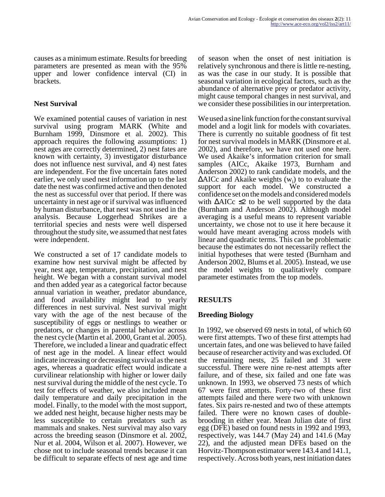causes as a minimum estimate. Results for breeding parameters are presented as mean with the 95% upper and lower confidence interval (CI) in brackets.

## **Nest Survival**

We examined potential causes of variation in nest survival using program MARK (White and Burnham 1999, Dinsmore et al. 2002). This approach requires the following assumptions: 1) nest ages are correctly determined, 2) nest fates are known with certainty, 3) investigator disturbance does not influence nest survival, and 4) nest fates are independent. For the five uncertain fates noted earlier, we only used nest information up to the last date the nest was confirmed active and then denoted the nest as successful over that period. If there was uncertainty in nest age or if survival was influenced by human disturbance, that nest was not used in the analysis. Because Loggerhead Shrikes are a territorial species and nests were well dispersed throughout the study site, we assumed that nest fates were independent.

We constructed a set of 17 candidate models to examine how nest survival might be affected by year, nest age, temperature, precipitation, and nest height. We began with a constant survival model and then added year as a categorical factor because annual variation in weather, predator abundance, and food availability might lead to yearly differences in nest survival. Nest survival might vary with the age of the nest because of the susceptibility of eggs or nestlings to weather or predators, or changes in parental behavior across the nest cycle (Martin et al. 2000, Grant et al. 2005). Therefore, we included a linear and quadratic effect of nest age in the model. A linear effect would indicate increasing or decreasing survival as the nest ages, whereas a quadratic effect would indicate a curvilinear relationship with higher or lower daily nest survival during the middle of the nest cycle. To test for effects of weather, we also included mean daily temperature and daily precipitation in the model. Finally, to the model with the most support, we added nest height, because higher nests may be less susceptible to certain predators such as mammals and snakes. Nest survival may also vary across the breeding season (Dinsmore et al. 2002, Nur et al. 2004, Wilson et al. 2007). However, we chose not to include seasonal trends because it can be difficult to separate effects of nest age and time

of season when the onset of nest initiation is relatively synchronous and there is little re-nesting, as was the case in our study. It is possible that seasonal variation in ecological factors, such as the abundance of alternative prey or predator activity, might cause temporal changes in nest survival, and we consider these possibilities in our interpretation.

We used a sine link function for the constant survival model and a logit link for models with covariates. There is currently no suitable goodness of fit test for nest survival models in MARK (Dinsmore et al. 2002), and therefore, we have not used one here. We used Akaike's information criterion for small samples (AICc, Akaike 1973, Burnham and Anderson 2002) to rank candidate models, and the  $\Delta AICc$  and Akaike weights (w<sub>i</sub>) to to evaluate the support for each model. We constructed a confidence set on the models and considered models with  $\triangle AICc \leq 2$  to be well supported by the data (Burnham and Anderson 2002). Although model averaging is a useful means to represent variable uncertainty, we chose not to use it here because it would have meant averaging across models with linear and quadratic terms. This can be problematic because the estimates do not necessarily reflect the initial hypotheses that were tested (Burnham and Anderson 2002, Blums et al. 2005). Instead, we use the model weights to qualitatively compare parameter estimates from the top models.

## **RESULTS**

### **Breeding Biology**

In 1992, we observed 69 nests in total, of which 60 were first attempts. Two of these first attempts had uncertain fates, and one was believed to have failed because of researcher activity and was excluded. Of the remaining nests, 25 failed and 31 were successful. There were nine re-nest attempts after failure, and of these, six failed and one fate was unknown. In 1993, we observed 73 nests of which 67 were first attempts. Forty-two of these first attempts failed and there were two with unknown fates. Six pairs re-nested and two of these attempts failed. There were no known cases of doublebrooding in either year. Mean Julian date of first egg (DFE) based on found nests in 1992 and 1993, respectively, was 144.7 (May 24) and 141.6 (May 22), and the adjusted mean DFEs based on the Horvitz-Thompson estimator were 143.4 and 141.1, respectively. Across both years, nest initiation dates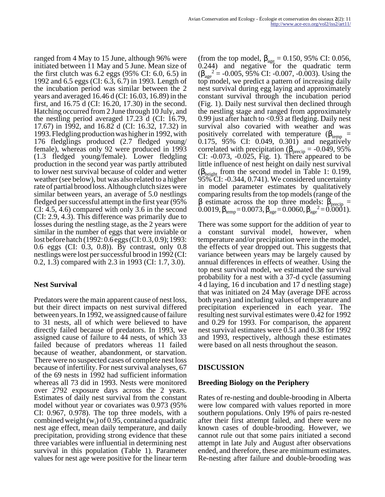ranged from 4 May to 15 June, although 96% were initiated between 11 May and 5 June. Mean size of the first clutch was 6.2 eggs (95% CI: 6.0, 6.5) in 1992 and 6.5 eggs (CI: 6.3, 6.7) in 1993. Length of the incubation period was similar between the 2 years and averaged 16.46 d (CI: 16.03, 16.89) in the first, and 16.75 d (CI: 16.20, 17.30) in the second. Hatching occurred from 2 June through 10 July, and the nestling period averaged 17.23 d (CI: 16.79, 17.67) in 1992, and 16.82 d (CI: 16.32, 17.32) in 1993. Fledgling production was higher in 1992, with 176 fledglings produced (2.7 fledged young/ female), whereas only 92 were produced in 1993 (1.3 fledged young/female). Lower fledgling production in the second year was partly attributed to lower nest survival because of colder and wetter weather (see below), but was also related to a higher rate of partial brood loss. Although clutch sizes were similar between years, an average of 5.0 nestlings fledged per successful attempt in the first year (95% CI: 4.5, 4.6) compared with only 3.6 in the second (CI: 2.9, 4.3). This difference was primarily due to losses during the nestling stage, as the 2 years were similar in the number of eggs that were inviable or lost before hatch (1992: 0.6 eggs (CI: 0.3, 0.9); 1993: 0.6 eggs (CI: 0.3, 0.8)). By contrast, only 0.8 nestlings were lost per successful brood in 1992 (CI: 0.2, 1.3) compared with 2.3 in 1993 (CI: 1.7, 3.0).

## **Nest Survival**

Predators were the main apparent cause of nest loss, but their direct impacts on nest survival differed between years. In 1992, we assigned cause of failure to 31 nests, all of which were believed to have directly failed because of predators. In 1993, we assigned cause of failure to 44 nests, of which 33 failed because of predators whereas 11 failed because of weather, abandonment, or starvation. There were no suspected cases of complete nest loss because of infertility. For nest survival analyses, 67 of the 69 nests in 1992 had sufficient information whereas all 73 did in 1993. Nests were monitored over 2792 exposure days across the 2 years. Estimates of daily nest survival from the constant model without year or covariates was 0.973 (95% CI: 0.967, 0.978). The top three models, with a combined weight  $(w_i)$  of 0.95, contained a quadratic nest age effect, mean daily temperature, and daily precipitation, providing strong evidence that these three variables were influential in determining nest survival in this population (Table 1). Parameter values for nest age were positive for the linear term

(from the top model,  $\beta_{\text{age}} = 0.150, 95\%$  CI: 0.056,  $0.244$ ) and negative for the quadratic term  $(\beta_{\text{age}}^2 = -0.005, 95\% \text{ CI: } -0.007, -0.003)$ . Using the top model, we predict a pattern of increasing daily nest survival during egg laying and approximately constant survival through the incubation period (Fig. 1). Daily nest survival then declined through the nestling stage and ranged from approximately 0.99 just after hatch to <0.93 at fledging. Daily nest survival also covaried with weather and was positively correlated with temperature ( $\beta_{\text{temp}}$  = 0.175, 95% CI: 0.049, 0.301) and negatively correlated with precipitation ( $\beta_{\text{precip}} = -0.049, 95\%$ CI: -0.073, -0.025, Fig. 1). There appeared to be little influence of nest height on daily nest survival  $(\beta_{\text{height}})$  from the second model in Table 1: 0.199, 95% CI: -0.344, 0.741). We considered uncertainty in model parameter estimates by qualitatively comparing results from the top models (range of the β estimate across the top three models:  $β_{\text{precip}} =$  $0.0019, \beta_{temp} = 0.0073, \beta_{age} = 0.0060, \beta_{age}^2 = 0.00001.$ 

There was some support for the addition of year to a constant survival model, however, when temperature and/or precipitation were in the model, the effects of year dropped out. This suggests that variance between years may be largely caused by annual differences in effects of weather. Using the top nest survival model, we estimated the survival probability for a nest with a 37-d cycle (assuming 4 d laying, 16 d incubation and 17 d nestling stage) that was initiated on 24 May (average DFE across both years) and including values of temperature and precipitation experienced in each year. The resulting nest survival estimates were 0.42 for 1992 and 0.29 for 1993. For comparison, the apparent nest survival estimates were 0.51 and 0.38 for 1992 and 1993, respectively, although these estimates were based on all nests throughout the season.

## **DISCUSSION**

## **Breeding Biology on the Periphery**

Rates of re-nesting and double-brooding in Alberta were low compared with values reported in more southern populations. Only 19% of pairs re-nested after their first attempt failed, and there were no known cases of double-brooding. However, we cannot rule out that some pairs initiated a second attempt in late July and August after observations ended, and therefore, these are minimum estimates. Re-nesting after failure and double-brooding was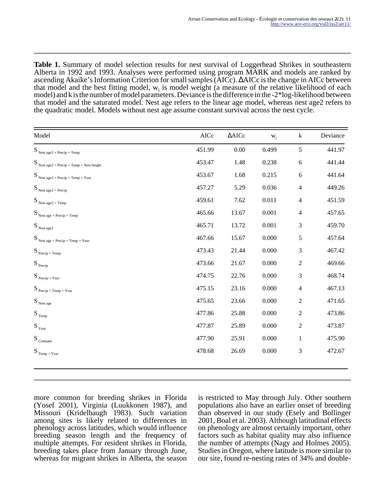**Table 1.** Summary of model selection results for nest survival of Loggerhead Shrikes in southeastern Alberta in 1992 and 1993. Analyses were performed using program MARK and models are ranked by ascending Akaike's Information Criterion for small samples (AICc). ∆AICc is the change in AICc between that model and the best fitting model,  $w_i$  is model weight (a measure of the relative likelihood of each model) and k is the number of model parameters. Deviance is the difference in the -2\*log-likelihood between that model and the saturated model. Nest age refers to the linear age model, whereas nest age2 refers to the quadratic model. Models without nest age assume constant survival across the nest cycle.

| Model                                                                     | AICc   | $\Delta\text{AICc}$ | $W_i$ | $\mathbf k$    | Deviance |
|---------------------------------------------------------------------------|--------|---------------------|-------|----------------|----------|
| $S_{\text{Nest age2} + \text{Precip} + \text{Temp}}$                      | 451.99 | 0.00                | 0.499 | 5              | 441.97   |
| $S_{\text{Nest age2} + \text{Precip} + \text{Temp} + \text{Nest height}}$ | 453.47 | 1.48                | 0.238 | 6              | 441.44   |
| $S_{\text{Nest age2} + \text{Precip} + \text{Temp} + \text{Year}}$        | 453.67 | 1.68                | 0.215 | $\sqrt{6}$     | 441.64   |
| $S_{\text{Nest age2} + \text{Precip}}$                                    | 457.27 | 5.29                | 0.036 | $\overline{4}$ | 449.26   |
| $S_{\text{Nest age2} + \text{Temp}}$                                      | 459.61 | 7.62                | 0.011 | $\overline{4}$ | 451.59   |
| $S_{\text{Nest age} + \text{Precip} + \text{Temp}}$                       | 465.66 | 13.67               | 0.001 | 4              | 457.65   |
| $S_{\text{Nest age2}}$                                                    | 465.71 | 13.72               | 0.001 | 3              | 459.70   |
| $S_{\text{Nest age} + \text{Precip} + \text{Temp} + \text{Year}}$         | 467.66 | 15.67               | 0.000 | 5              | 457.64   |
| $S_{\text{Precip} + \text{Temp}}$                                         | 473.43 | 21.44               | 0.000 | $\mathfrak{Z}$ | 467.42   |
| $S_{\text{Precip}}$                                                       | 473.66 | 21.67               | 0.000 | $\overline{2}$ | 469.66   |
| $S_{\text{Precip} + \text{Year}}$                                         | 474.75 | 22.76               | 0.000 | 3              | 468.74   |
| $S_{\text{Precip} + \text{Temp} + \text{Year}}$                           | 475.15 | 23.16               | 0.000 | $\overline{4}$ | 467.13   |
| $S_{\text{ Nest age}}$                                                    | 475.65 | 23.66               | 0.000 | $\overline{2}$ | 471.65   |
| $\mathbf{S}_{\text{Temp}}$                                                | 477.86 | 25.88               | 0.000 | $\overline{2}$ | 473.86   |
| $S_{Year}$                                                                | 477.87 | 25.89               | 0.000 | $\sqrt{2}$     | 473.87   |
| $S_{\text{Constant}}$                                                     | 477.90 | 25.91               | 0.000 | $\mathbf{1}$   | 475.90   |
| $S_{Temp + Year}$                                                         | 478.68 | 26.69               | 0.000 | 3              | 472.67   |

more common for breeding shrikes in Florida (Yosef 2001), Virginia (Luukkonen 1987), and Missouri (Kridelbaugh 1983). Such variation among sites is likely related to differences in phenology across latitudes, which would influence breeding season length and the frequency of multiple attempts. For resident shrikes in Florida, breeding takes place from January through June, whereas for migrant shrikes in Alberta, the season

is restricted to May through July. Other southern populations also have an earlier onset of breeding than observed in our study (Esely and Bollinger 2001, Boal et al. 2003). Although latitudinal effects on phenology are almost certainly important, other factors such as habitat quality may also influence the number of attempts (Nagy and Holmes 2005). Studies in Oregon, where latitude is more similar to our site, found re-nesting rates of 34% and double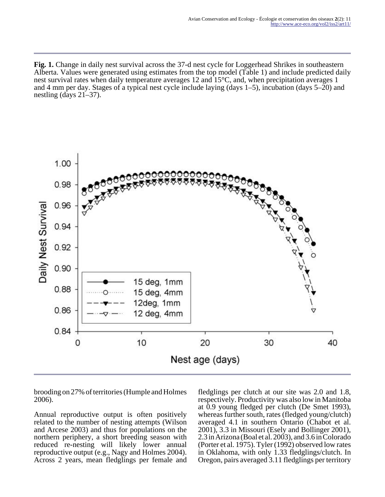**Fig. 1.** Change in daily nest survival across the 37-d nest cycle for Loggerhead Shrikes in southeastern Alberta. Values were generated using estimates from the top model (Table 1) and include predicted daily nest survival rates when daily temperature averages 12 and 15°C, and, when precipitation averages 1 and 4 mm per day. Stages of a typical nest cycle include laying (days 1–5), incubation (days 5–20) and nestling (days 21–37).



brooding on 27% of territories (Humple and Holmes 2006).

Annual reproductive output is often positively related to the number of nesting attempts (Wilson and Arcese 2003) and thus for populations on the northern periphery, a short breeding season with reduced re-nesting will likely lower annual reproductive output (e.g., Nagy and Holmes 2004). Across 2 years, mean fledglings per female and fledglings per clutch at our site was 2.0 and 1.8, respectively. Productivity was also low in Manitoba at 0.9 young fledged per clutch (De Smet 1993), whereas further south, rates (fledged young/clutch) averaged 4.1 in southern Ontario (Chabot et al. 2001), 3.3 in Missouri (Esely and Bollinger 2001), 2.3 in Arizona (Boal et al. 2003), and 3.6 in Colorado (Porter et al. 1975). Tyler (1992) observed low rates in Oklahoma, with only 1.33 fledglings/clutch. In Oregon, pairs averaged 3.11 fledglings per territory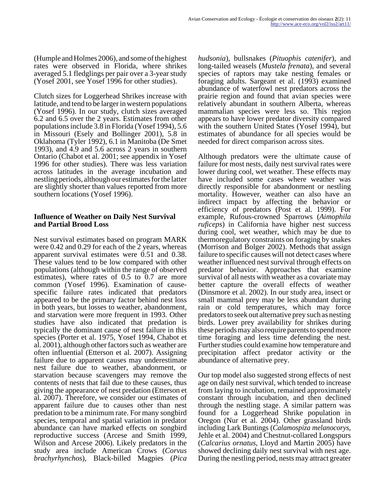(Humple and Holmes 2006), and some of the highest rates were observed in Florida, where shrikes averaged 5.1 fledglings per pair over a 3-year study (Yosef 2001, see Yosef 1996 for other studies).

Clutch sizes for Loggerhead Shrikes increase with latitude, and tend to be larger in western populations (Yosef 1996). In our study, clutch sizes averaged 6.2 and 6.5 over the 2 years. Estimates from other populations include 3.8 in Florida (Yosef 1994), 5.6 in Missouri (Esely and Bollinger 2001), 5.8 in Oklahoma (Tyler 1992), 6.1 in Manitoba (De Smet 1993), and 4.9 and 5.6 across 2 years in southern Ontario (Chabot et al. 2001; see appendix in Yosef 1996 for other studies). There was less variation across latitudes in the average incubation and nestling periods, although our estimates for the latter are slightly shorter than values reported from more southern locations (Yosef 1996).

#### **Influence of Weather on Daily Nest Survival and Partial Brood Loss**

Nest survival estimates based on program MARK were 0.42 and 0.29 for each of the 2 years, whereas apparent survival estimates were 0.51 and 0.38. These values tend to be low compared with other populations (although within the range of observed estimates), where rates of 0.5 to 0.7 are more common (Yosef 1996). Examination of causespecific failure rates indicated that predators appeared to be the primary factor behind nest loss in both years, but losses to weather, abandonment, and starvation were more frequent in 1993. Other studies have also indicated that predation is typically the dominant cause of nest failure in this species (Porter et al. 1975, Yosef 1994, Chabot et al. 2001), although other factors such as weather are often influential (Etterson et al. 2007). Assigning failure due to apparent causes may underestimate nest failure due to weather, abandonment, or starvation because scavengers may remove the contents of nests that fail due to these causes, thus giving the appearance of nest predation (Etterson et al. 2007). Therefore, we consider our estimates of apparent failure due to causes other than nest predation to be a minimum rate. For many songbird species, temporal and spatial variation in predator abundance can have marked effects on songbird reproductive success (Arcese and Smith 1999, Wilson and Arcese 2006). Likely predators in the study area include American Crows (*Corvus brachyrhynchos*), Black-billed Magpies (*Pica*

*hudsonia*), bullsnakes (*Pituophis catenifer*), and long-tailed weasels (*Mustela frenata*), and several species of raptors may take nesting females or foraging adults. Sargeant et al. (1993) examined abundance of waterfowl nest predators across the prairie region and found that avian species were relatively abundant in southern Alberta, whereas mammalian species were less so. This region appears to have lower predator diversity compared with the southern United States (Yosef 1994), but estimates of abundance for all species would be needed for direct comparison across sites.

Although predators were the ultimate cause of failure for most nests, daily nest survival rates were lower during cool, wet weather. These effects may have included some cases where weather was directly responsible for abandonment or nestling mortality. However, weather can also have an indirect impact by affecting the behavior or efficiency of predators (Post et al. 1999). For example, Rufous-crowned Sparrows (*Aimophila ruficeps*) in California have higher nest success during cool, wet weather, which may be due to thermoregulatory constraints on foraging by snakes (Morrison and Bolger 2002). Methods that assign failure to specific causes will not detect cases where weather influenced nest survival through effects on predator behavior. Approaches that examine survival of all nests with weather as a covariate may better capture the overall effects of weather (Dinsmore et al. 2002). In our study area, insect or small mammal prey may be less abundant during rain or cold temperatures, which may force predators to seek out alternative prey such as nesting birds. Lower prey availability for shrikes during these periods may also require parents to spend more time foraging and less time defending the nest. Further studies could examine how temperature and precipitation affect predator activity or the abundance of alternative prey.

Our top model also suggested strong effects of nest age on daily nest survival, which tended to increase from laying to incubation, remained approximately constant through incubation, and then declined through the nestling stage. A similar pattern was found for a Loggerhead Shrike population in Oregon (Nur et al. 2004). Other grassland birds including Lark Buntings (*Calamospiza melanocorys*, Jehle et al. 2004) and Chestnut-collared Longspurs (*Calcarius ornatus*, Lloyd and Martin 2005) have showed declining daily nest survival with nest age. During the nestling period, nests may attract greater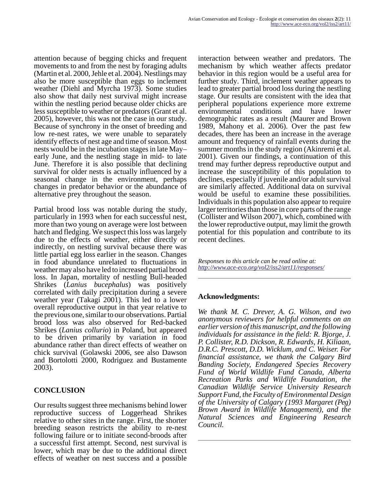attention because of begging chicks and frequent movements to and from the nest by foraging adults (Martin et al. 2000, Jehle et al. 2004). Nestlings may also be more susceptible than eggs to inclement weather (Diehl and Myrcha 1973). Some studies also show that daily nest survival might increase within the nestling period because older chicks are less susceptible to weather or predators (Grant et al. 2005), however, this was not the case in our study. Because of synchrony in the onset of breeding and low re-nest rates, we were unable to separately identify effects of nest age and time of season. Most nests would be in the incubation stages in late May– early June, and the nestling stage in mid- to late June. Therefore it is also possible that declining survival for older nests is actually influenced by a seasonal change in the environment, perhaps changes in predator behavior or the abundance of alternative prey throughout the season.

Partial brood loss was notable during the study, particularly in 1993 when for each successful nest, more than two young on average were lost between hatch and fledging. We suspect this loss was largely due to the effects of weather, either directly or indirectly, on nestling survival because there was little partial egg loss earlier in the season. Changes in food abundance unrelated to fluctuations in weather may also have led to increased partial brood loss. In Japan, mortality of nestling Bull-headed Shrikes (*Lanius bucephalus*) was positively correlated with daily precipitation during a severe weather year (Takagi 2001). This led to a lower overall reproductive output in that year relative to the previous one, similar to our observations. Partial brood loss was also observed for Red-backed Shrikes (*Lanius collurio*) in Poland, but appeared to be driven primarily by variation in food abundance rather than direct effects of weather on chick survival (Golawski 2006, see also Dawson and Bortolotti 2000, Rodriguez and Bustamente 2003).

## **CONCLUSION**

Our results suggest three mechanisms behind lower reproductive success of Loggerhead Shrikes relative to other sites in the range. First, the shorter breeding season restricts the ability to re-nest following failure or to initiate second-broods after a successful first attempt. Second, nest survival is lower, which may be due to the additional direct effects of weather on nest success and a possible

interaction between weather and predators. The mechanism by which weather affects predator behavior in this region would be a useful area for further study. Third, inclement weather appears to lead to greater partial brood loss during the nestling stage. Our results are consistent with the idea that peripheral populations experience more extreme environmental conditions and have lower demographic rates as a result (Maurer and Brown 1989, Mahony et al. 2006). Over the past few decades, there has been an increase in the average amount and frequency of rainfall events during the summer months in the study region (Akinremi et al. 2001). Given our findings, a continuation of this trend may further depress reproductive output and increase the susceptibility of this population to declines, especially if juvenile and/or adult survival are similarly affected. Additional data on survival would be useful to examine these possibilities. Individuals in this population also appear to require larger territories than those in core parts of the range (Collister and Wilson 2007), which, combined with the lower reproductive output, may limit the growth potential for this population and contribute to its recent declines.

*Responses to this article can be read online at: <http://www.ace-eco.org/vol2/iss2/art11/responses/>*

### **Acknowledgments:**

*We thank M. C. Drever, A. G. Wilson, and two anonymous reviewers for helpful comments on an earlier version of this manuscript, and the following individuals for assistance in the field: R. Bjorge, J. P. Collister, R.D. Dickson, R. Edwards, H. Kiliaan, D.R.C. Prescott, D.D. Wicklum, and C. Weiser. For financial assistance, we thank the Calgary Bird Banding Society, Endangered Species Recovery Fund of World Wildlife Fund Canada, Alberta Recreation Parks and Wildlife Foundation, the Canadian Wildlife Service University Research Support Fund, the Faculty of Environmental Design of the University of Calgary (1993 Margaret (Peg) Brown Award in Wildlife Management), and the Natural Sciences and Engineering Research Council.*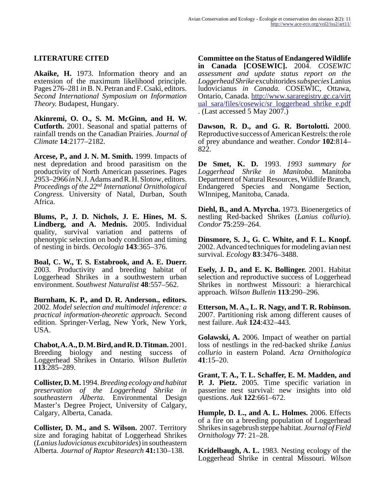#### **LITERATURE CITED**

**Akaike, H.** 1973. Information theory and an extension of the maximum likelihood principle. Pages 276–281 *in* B. N. Petran and F. Csaki, editors. *Second International Symposium on Information Theory.* Budapest, Hungary.

**Akinremi, O. O., S. M. McGinn, and H. W. Cutforth.** 2001. Seasonal and spatial patterns of rainfall trends on the Canadian Prairies. *Journal of Climate* **14**:2177–2182.

**Arcese, P., and J. N. M. Smith.** 1999. Impacts of nest depredation and brood parasitism on the productivity of North American passerines. Pages 2953–2966 *in* N. J. Adams and R. H. Slotow, editors. *Proceedings of the 22nd International Ornithological Congress.* University of Natal, Durban, South Africa.

**Blums, P., J. D. Nichols, J. E. Hines, M. S. Lindberg, and A. Mednis.** 2005. Individual quality, survival variation and patterns of phenotypic selection on body condition and timing of nesting in birds. *Oecologia* **143**:365–376.

**Boal, C. W., T. S. Estabrook, and A. E. Duerr.** 2003. Productivity and breeding habitat of Loggerhead Shrikes in a southwestern urban environment. *Southwest Naturalist* **48**:557–562.

**Burnham, K. P., and D. R. Anderson., editors.** 2002. *Model selection and multimodel inference: a practical information-theoretic approach.* Second edition. Springer-Verlag, New York, New York, USA.

**Chabot, A. A., D. M. Bird, and R. D. Titman.** 2001. Breeding biology and nesting success of Loggerhead Shrikes in Ontario. *Wilson Bulletin* **113**:285–289.

**Collister, D. M.** 1994. *Breeding ecology and habitat preservation of the Loggerhead Shrike in southeastern Alberta.* Environmental Design Master's Degree Project, University of Calgary, Calgary, Alberta, Canada.

**Collister, D. M., and S. Wilson.** 2007. Territory size and foraging habitat of Loggerhead Shrikes (*Lanius ludovicianus excubitorides*) in southeastern Alberta. *Journal of Raptor Research* **41:**130–138.

**Committee on the Status of Endangered Wildlife in Canada [COSEWIC].** 2004. *COSEWIC assessment and update status report on the Loggerhead Shrike* excubitorides *subspecies* Lanius ludovicianus *in Canada.* COSEWIC, Ottawa, Ontario, Canada. [http://www.sararegistry.gc.ca/virt](http://www.sararegistry.gc.ca/virtual_sara/files/cosewic/sr_loggerhead_shrike_e.pdf) [ual\\_sara/files/cosewic/sr\\_loggerhead\\_shrike\\_e.pdf](http://www.sararegistry.gc.ca/virtual_sara/files/cosewic/sr_loggerhead_shrike_e.pdf) . (Last accessed 5 May 2007.)

**Dawson, R. D., and G. R. Bortolotti.** 2000. Reproductive success of American Kestrels: the role of prey abundance and weather. *Condor* **102**:814– 822.

**De Smet, K. D.** 1993. *1993 summary for Loggerhead Shrike in Manitoba.* Manitoba Department of Natural Resources, Wildlife Branch, Endangered Species and Nongame Section, WInnipeg, Manitoba, Canada.

**Diehl, B., and A. Myrcha.** 1973. Bioenergetics of nestling Red-backed Shrikes (*Lanius collurio*). *Condor* **75**:259–264.

**Dinsmore, S. J., G. C. White, and F. L. Knopf.** 2002. Advanced techniques for modeling avian nest survival. *Ecology* **83**:3476–3488.

**Esely, J. D., and E. K. Bollinger.** 2001. Habitat selection and reproductive success of Loggerhead Shrikes in northwest Missouri: a hierarchical approach. *Wilson Bulletin* **113**:290–296.

**Etterson, M. A., L. R. Nagy, and T. R. Robinson.** 2007. Partitioning risk among different causes of nest failure. *Auk* **124**:432–443.

**Golawski, A.** 2006. Impact of weather on partial loss of nestlings in the red-backed shrike *Lanius collurio* in eastern Poland. *Acta Ornithologica* **41**:15–20.

**Grant, T. A., T. L. Schaffer, E. M. Madden, and P. J. Pietz.** 2005. Time specific variation in passerine nest survival: new insights into old questions. *Auk* **122**:661–672.

**Humple, D. L., and A. L. Holmes.** 2006. Effects of a fire on a breeding population of Loggerhead Shrikes in sagebrush steppe habitat. *Journal of Field Ornithology* **77**: 21–28.

**Kridelbaugh, A. L.** 1983. Nesting ecology of the Loggerhead Shrike in central Missouri. *Wilson*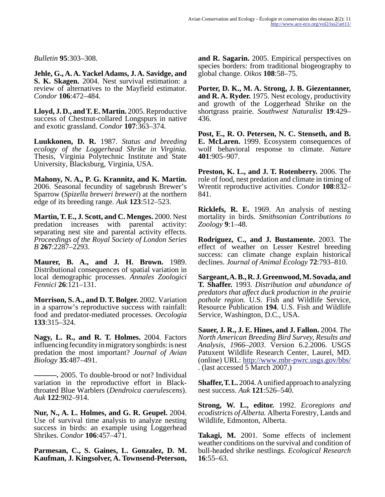*Bulletin* **95**:303–308.

**Jehle, G., A. A. Yackel Adams, J. A. Savidge, and S. K. Skagen.** 2004. Nest survival estimation: a review of alternatives to the Mayfield estimator. *Condor* **106**:472–484.

**Lloyd, J. D., and T. E. Martin.** 2005. Reproductive success of Chestnut-collared Longspurs in native and exotic grassland. *Condor* **107**:363–374.

**Luukkonen, D. R.** 1987. *Status and breeding ecology of the Loggerhead Shrike in Virginia.* Thesis, Virginia Polytechnic Institute and State University, Blacksburg, Virginia, USA.

**Mahony, N. A., P. G. Krannitz, and K. Martin.** 2006. Seasonal fecundity of sagebrush Brewer's Sparrow (*Spizella breweri breweri*) at the northern edge of its breeding range. *Auk* **123**:512–523.

**Martin, T. E., J. Scott, and C. Menges.** 2000. Nest predation increases with parental activity: separating nest site and parental activity effects. *Proceedings of the Royal Society of London Series B* **267**:2287–2293.

**Maurer, B. A., and J. H. Brown.** 1989. Distributional consequences of spatial variation in local demographic processes. *Annales Zoologici Fennici* **26**:121–131.

**Morrison, S. A., and D. T. Bolger.** 2002. Variation in a sparrow's reproductive success with rainfall: food and predator-mediated processes. *Oecologia* **133**:315–324.

**Nagy, L. R., and R. T. Holmes.** 2004. Factors influencing fecundity in migratory songbirds: is nest predation the most important? *Journal of Avian Biology* **35**:487–491.

**———.** 2005. To double-brood or not? Individual variation in the reproductive effort in Blackthroated Blue Warblers (*Dendroica caerulescens*). *Auk* **122**:902–914.

**Nur, N., A. L. Holmes, and G. R. Geupel.** 2004. Use of survival time analysis to analyze nesting success in birds: an example using Loggerhead Shrikes. *Condor* **106**:457–471.

**Parmesan, C., S. Gaines, L. Gonzalez, D. M. Kaufman, J. Kingsolver, A. Townsend-Peterson,** **and R. Sagarin.** 2005. Empirical perspectives on species borders: from traditional biogeography to global change. *Oikos* **108**:58–75.

**Porter, D. K., M. A. Strong, J. B. Giezentanner, and R. A. Ryder.** 1975. Nest ecology, productivity and growth of the Loggerhead Shrike on the shortgrass prairie. *Southwest Naturalist* **19**:429– 436.

**Post, E., R. O. Petersen, N. C. Stenseth, and B. E. McLaren.** 1999. Ecosystem consequences of wolf behavioral response to climate. *Nature* **401**:905–907.

**Preston, K. L., and J. T. Rotenberry.** 2006. The role of food, nest predation and climate in timing of Wrentit reproductive activities. *Condor* **108**:832– 841.

**Ricklefs, R. E.** 1969. An analysis of nesting mortality in birds. *Smithsonian Contributions to Zoology* **9**:1–48.

**Rodríguez, C., and J. Bustamente.** 2003. The effect of weather on Lesser Kestrel breeding success: can climate change explain historical declines. *Journal of Animal Ecology* **72**:793–810.

**Sargeant, A. B., R. J. Greenwood, M. Sovada, and T. Shaffer.** 1993. *Distribution and abundance of predators that affect duck production in the prairie pothole region.* U.S. Fish and Wildlife Service, Resource Publication **194**. U.S. Fish and Wildlife Service, Washington, D.C., USA.

**Sauer, J. R., J. E. Hines, and J. Fallon.** 2004. *The North American Breeding Bird Survey, Results and Analysis, 1966–2003*. Version 6.2.2006. USGS Patuxent Wildlife Research Center, Laurel, MD. (online) URL:<http://www.mbr-pwrc.usgs.gov/bbs/> . (last accessed 5 March 2007.)

**Shaffer, T. L.** 2004. A unified approach to analyzing nest success. *Auk* **121**:526–540.

**Strong, W. L., editor.** 1992. *Ecoregions and ecodistricts of Alberta.* Alberta Forestry, Lands and Wildlife, Edmonton, Alberta.

**Takagi, M.** 2001. Some effects of inclement weather conditions on the survival and condition of bull-headed shrike nestlings. *Ecological Research* **16**:55–63.